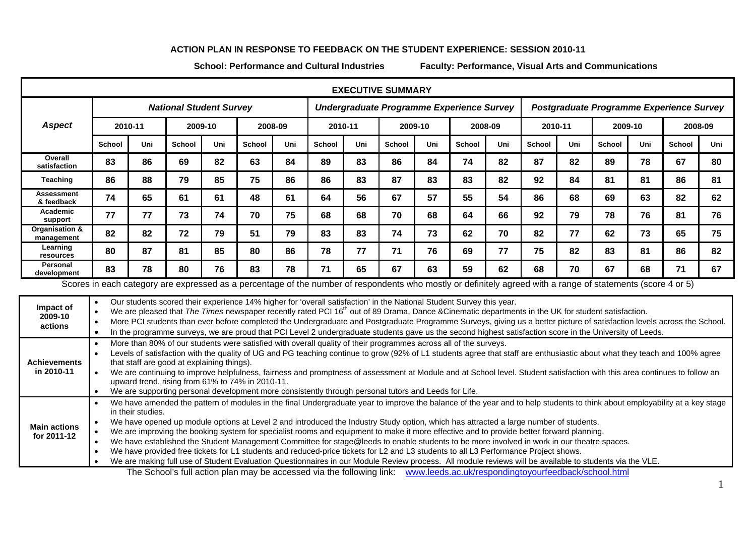## **ACTION PLAN IN RESPONSE TO FEEDBACK ON THE STUDENT EXPERIENCE: SESSION 2010-11**

**School: Performance and Cultural Industries**

**Faculty: Performance, Visual Arts and Communications** 

| <b>EXECUTIVE SUMMARY</b>                                                                                                                                                                                                                                                                      |                                                                                                                                                                                                                                                                                                                                                                                                                                                                  |                                                                                                                                                          |               |     |        |         |                                           |         |               |         |               |                                          |               |         |               |         |        |         |  |
|-----------------------------------------------------------------------------------------------------------------------------------------------------------------------------------------------------------------------------------------------------------------------------------------------|------------------------------------------------------------------------------------------------------------------------------------------------------------------------------------------------------------------------------------------------------------------------------------------------------------------------------------------------------------------------------------------------------------------------------------------------------------------|----------------------------------------------------------------------------------------------------------------------------------------------------------|---------------|-----|--------|---------|-------------------------------------------|---------|---------------|---------|---------------|------------------------------------------|---------------|---------|---------------|---------|--------|---------|--|
|                                                                                                                                                                                                                                                                                               | <b>National Student Survey</b>                                                                                                                                                                                                                                                                                                                                                                                                                                   |                                                                                                                                                          |               |     |        |         | Undergraduate Programme Experience Survey |         |               |         |               | Postgraduate Programme Experience Survey |               |         |               |         |        |         |  |
| <b>Aspect</b>                                                                                                                                                                                                                                                                                 | 2010-11                                                                                                                                                                                                                                                                                                                                                                                                                                                          |                                                                                                                                                          | 2009-10       |     |        | 2008-09 |                                           | 2010-11 |               | 2009-10 |               | 2008-09                                  |               | 2010-11 |               | 2009-10 |        | 2008-09 |  |
|                                                                                                                                                                                                                                                                                               | School                                                                                                                                                                                                                                                                                                                                                                                                                                                           | Uni                                                                                                                                                      | <b>School</b> | Uni | School | Uni     | <b>School</b>                             | Uni     | <b>School</b> | Uni     | <b>School</b> | Uni                                      | <b>School</b> | Uni     | <b>School</b> | Uni     | School | Uni     |  |
| Overall<br>satisfaction                                                                                                                                                                                                                                                                       | 83                                                                                                                                                                                                                                                                                                                                                                                                                                                               | 86                                                                                                                                                       | 69            | 82  | 63     | 84      | 89                                        | 83      | 86            | 84      | 74            | 82                                       | 87            | 82      | 89            | 78      | 67     | 80      |  |
| Teaching                                                                                                                                                                                                                                                                                      | 86                                                                                                                                                                                                                                                                                                                                                                                                                                                               | 88                                                                                                                                                       | 79            | 85  | 75     | 86      | 86                                        | 83      | 87            | 83      | 83            | 82                                       | 92            | 84      | 81            | 81      | 86     | 81      |  |
| <b>Assessment</b><br>& feedback                                                                                                                                                                                                                                                               | 74                                                                                                                                                                                                                                                                                                                                                                                                                                                               | 65                                                                                                                                                       | 61            | 61  | 48     | 61      | 64                                        | 56      | 67            | 57      | 55            | 54                                       | 86            | 68      | 69            | 63      | 82     | 62      |  |
| Academic<br>support                                                                                                                                                                                                                                                                           | 77                                                                                                                                                                                                                                                                                                                                                                                                                                                               | 77                                                                                                                                                       | 73            | 74  | 70     | 75      | 68                                        | 68      | 70            | 68      | 64            | 66                                       | 92            | 79      | 78            | 76      | 81     | 76      |  |
| Organisation &<br>management                                                                                                                                                                                                                                                                  | 82                                                                                                                                                                                                                                                                                                                                                                                                                                                               | 82                                                                                                                                                       | 72            | 79  | 51     | 79      | 83                                        | 83      | 74            | 73      | 62            | 70                                       | 82            | 77      | 62            | 73      | 65     | 75      |  |
| Learning<br>resources                                                                                                                                                                                                                                                                         | 80                                                                                                                                                                                                                                                                                                                                                                                                                                                               | 87                                                                                                                                                       | 81            | 85  | 80     | 86      | 78                                        | 77      | 71            | 76      | 69            | 77                                       | 75            | 82      | 83            | 81      | 86     | 82      |  |
| Personal<br>development                                                                                                                                                                                                                                                                       | 83                                                                                                                                                                                                                                                                                                                                                                                                                                                               | 78                                                                                                                                                       | 80            | 76  | 83     | 78      | 71                                        | 65      | 67            | 63      | 59            | 62                                       | 68            | 70      | 67            | 68      | 71     | 67      |  |
| Scores in each category are expressed as a percentage of the number of respondents who mostly or definitely agreed with a range of statements (score 4 or 5)                                                                                                                                  |                                                                                                                                                                                                                                                                                                                                                                                                                                                                  |                                                                                                                                                          |               |     |        |         |                                           |         |               |         |               |                                          |               |         |               |         |        |         |  |
| Impact of<br>2009-10                                                                                                                                                                                                                                                                          | Our students scored their experience 14% higher for 'overall satisfaction' in the National Student Survey this year.<br>We are pleased that The Times newspaper recently rated PCI 16 <sup>th</sup> out of 89 Drama, Dance &Cinematic departments in the UK for student satisfaction.<br>More PCI students than ever before completed the Undergraduate and Postgraduate Programme Surveys, giving us a better picture of satisfaction levels across the School. |                                                                                                                                                          |               |     |        |         |                                           |         |               |         |               |                                          |               |         |               |         |        |         |  |
| actions                                                                                                                                                                                                                                                                                       |                                                                                                                                                                                                                                                                                                                                                                                                                                                                  | In the programme surveys, we are proud that PCI Level 2 undergraduate students gave us the second highest satisfaction score in the University of Leeds. |               |     |        |         |                                           |         |               |         |               |                                          |               |         |               |         |        |         |  |
| More than 80% of our students were satisfied with overall quality of their programmes across all of the surveys.<br>Levels of satisfaction with the quality of UG and PG teaching continue to grow (92% of L1 students agree that staff are enthusiastic about what they teach and 100% agree |                                                                                                                                                                                                                                                                                                                                                                                                                                                                  |                                                                                                                                                          |               |     |        |         |                                           |         |               |         |               |                                          |               |         |               |         |        |         |  |
| <b>Achievements</b><br>in 2010-11                                                                                                                                                                                                                                                             | that staff are good at explaining things).                                                                                                                                                                                                                                                                                                                                                                                                                       |                                                                                                                                                          |               |     |        |         |                                           |         |               |         |               |                                          |               |         |               |         |        |         |  |
|                                                                                                                                                                                                                                                                                               | We are continuing to improve helpfulness, fairness and promptness of assessment at Module and at School level. Student satisfaction with this area continues to follow an<br>upward trend, rising from 61% to 74% in 2010-11.                                                                                                                                                                                                                                    |                                                                                                                                                          |               |     |        |         |                                           |         |               |         |               |                                          |               |         |               |         |        |         |  |
|                                                                                                                                                                                                                                                                                               | We are supporting personal development more consistently through personal tutors and Leeds for Life.<br>We have amended the pattern of modules in the final Undergraduate year to improve the balance of the year and to help students to think about employability at a key stage                                                                                                                                                                               |                                                                                                                                                          |               |     |        |         |                                           |         |               |         |               |                                          |               |         |               |         |        |         |  |
|                                                                                                                                                                                                                                                                                               | in their studies.                                                                                                                                                                                                                                                                                                                                                                                                                                                |                                                                                                                                                          |               |     |        |         |                                           |         |               |         |               |                                          |               |         |               |         |        |         |  |
| <b>Main actions</b>                                                                                                                                                                                                                                                                           | We have opened up module options at Level 2 and introduced the Industry Study option, which has attracted a large number of students.<br>We are improving the booking system for specialist rooms and equipment to make it more effective and to provide better forward planning.                                                                                                                                                                                |                                                                                                                                                          |               |     |        |         |                                           |         |               |         |               |                                          |               |         |               |         |        |         |  |
| for 2011-12                                                                                                                                                                                                                                                                                   | We have established the Student Management Committee for stage@leeds to enable students to be more involved in work in our theatre spaces.                                                                                                                                                                                                                                                                                                                       |                                                                                                                                                          |               |     |        |         |                                           |         |               |         |               |                                          |               |         |               |         |        |         |  |
|                                                                                                                                                                                                                                                                                               | We have provided free tickets for L1 students and reduced-price tickets for L2 and L3 students to all L3 Performance Project shows.                                                                                                                                                                                                                                                                                                                              |                                                                                                                                                          |               |     |        |         |                                           |         |               |         |               |                                          |               |         |               |         |        |         |  |
| We are making full use of Student Evaluation Questionnaires in our Module Review process. All module reviews will be available to students via the VLE.<br>The School's full action plan may be accessed via the following link: www.leeds.ac.uk/respondingtoyourfeedback/school.html         |                                                                                                                                                                                                                                                                                                                                                                                                                                                                  |                                                                                                                                                          |               |     |        |         |                                           |         |               |         |               |                                          |               |         |               |         |        |         |  |

1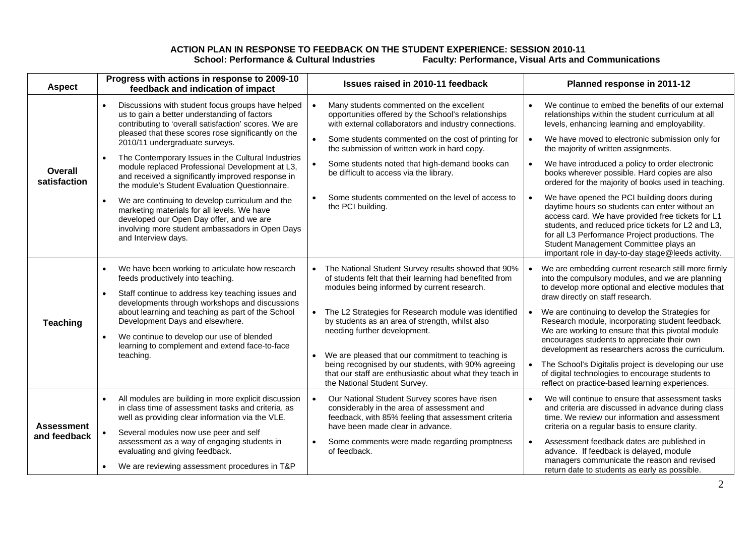## **ACTION PLAN IN RESPONSE TO FEEDBACK ON THE STUDENT EXPERIENCE: SESSION 2010-11**  School: Performance & Cultural Industries **Faculty: Performance, Visual Arts and Communications**

| <b>Aspect</b>                     | Progress with actions in response to 2009-10<br>feedback and indication of impact                                                                                                                                                                                                                                                                                                                                                                                                                                      | Issues raised in 2010-11 feedback                                                                                                                                                                                                                                                                                                                                                                                                                        | Planned response in 2011-12                                                                                                                                                                                                                                                                                                                                                                                                                                                 |  |  |  |
|-----------------------------------|------------------------------------------------------------------------------------------------------------------------------------------------------------------------------------------------------------------------------------------------------------------------------------------------------------------------------------------------------------------------------------------------------------------------------------------------------------------------------------------------------------------------|----------------------------------------------------------------------------------------------------------------------------------------------------------------------------------------------------------------------------------------------------------------------------------------------------------------------------------------------------------------------------------------------------------------------------------------------------------|-----------------------------------------------------------------------------------------------------------------------------------------------------------------------------------------------------------------------------------------------------------------------------------------------------------------------------------------------------------------------------------------------------------------------------------------------------------------------------|--|--|--|
| <b>Overall</b><br>satisfaction    | Discussions with student focus groups have helped<br>us to gain a better understanding of factors<br>contributing to 'overall satisfaction' scores. We are<br>pleased that these scores rose significantly on the<br>2010/11 undergraduate surveys.<br>The Contemporary Issues in the Cultural Industries<br>module replaced Professional Development at L3,<br>and received a significantly improved response in<br>the module's Student Evaluation Questionnaire.<br>We are continuing to develop curriculum and the | Many students commented on the excellent<br>opportunities offered by the School's relationships<br>with external collaborators and industry connections.<br>$\bullet$<br>Some students commented on the cost of printing for<br>the submission of written work in hard copy.<br>$\bullet$<br>Some students noted that high-demand books can<br>be difficult to access via the library.<br>Some students commented on the level of access to<br>$\bullet$ | We continue to embed the benefits of our external<br>relationships within the student curriculum at all<br>levels, enhancing learning and employability.<br>We have moved to electronic submission only for<br>$\bullet$<br>the majority of written assignments.<br>We have introduced a policy to order electronic<br>books wherever possible. Hard copies are also<br>ordered for the majority of books used in teaching.<br>We have opened the PCI building doors during |  |  |  |
|                                   | marketing materials for all levels. We have<br>developed our Open Day offer, and we are<br>involving more student ambassadors in Open Days<br>and Interview days.                                                                                                                                                                                                                                                                                                                                                      | the PCI building.                                                                                                                                                                                                                                                                                                                                                                                                                                        | daytime hours so students can enter without an<br>access card. We have provided free tickets for L1<br>students, and reduced price tickets for L2 and L3,<br>for all L3 Performance Project productions. The<br>Student Management Committee plays an<br>important role in day-to-day stage@leeds activity.                                                                                                                                                                 |  |  |  |
|                                   | We have been working to articulate how research<br>$\bullet$<br>feeds productively into teaching.<br>Staff continue to address key teaching issues and<br>$\bullet$<br>developments through workshops and discussions                                                                                                                                                                                                                                                                                                  | The National Student Survey results showed that 90%<br>$\bullet$<br>of students felt that their learning had benefited from<br>modules being informed by current research.                                                                                                                                                                                                                                                                               | We are embedding current research still more firmly<br>into the compulsory modules, and we are planning<br>to develop more optional and elective modules that<br>draw directly on staff research.                                                                                                                                                                                                                                                                           |  |  |  |
| <b>Teaching</b>                   | about learning and teaching as part of the School<br>Development Days and elsewhere.<br>We continue to develop our use of blended<br>$\bullet$<br>learning to complement and extend face-to-face                                                                                                                                                                                                                                                                                                                       | The L2 Strategies for Research module was identified<br>$\bullet$<br>by students as an area of strength, whilst also<br>needing further development.                                                                                                                                                                                                                                                                                                     | We are continuing to develop the Strategies for<br>$\bullet$<br>Research module, incorporating student feedback.<br>We are working to ensure that this pivotal module<br>encourages students to appreciate their own<br>development as researchers across the curriculum.                                                                                                                                                                                                   |  |  |  |
|                                   | teaching.                                                                                                                                                                                                                                                                                                                                                                                                                                                                                                              | We are pleased that our commitment to teaching is<br>being recognised by our students, with 90% agreeing<br>that our staff are enthusiastic about what they teach in<br>the National Student Survey.                                                                                                                                                                                                                                                     | The School's Digitalis project is developing our use<br>of digital technologies to encourage students to<br>reflect on practice-based learning experiences.                                                                                                                                                                                                                                                                                                                 |  |  |  |
| <b>Assessment</b><br>and feedback | All modules are building in more explicit discussion<br>$\bullet$<br>in class time of assessment tasks and criteria, as<br>well as providing clear information via the VLE.                                                                                                                                                                                                                                                                                                                                            | $\bullet$<br>Our National Student Survey scores have risen<br>considerably in the area of assessment and<br>feedback, with 85% feeling that assessment criteria<br>have been made clear in advance.                                                                                                                                                                                                                                                      | We will continue to ensure that assessment tasks<br>$\bullet$<br>and criteria are discussed in advance during class<br>time. We review our information and assessment<br>criteria on a regular basis to ensure clarity.                                                                                                                                                                                                                                                     |  |  |  |
|                                   | Several modules now use peer and self<br>assessment as a way of engaging students in<br>evaluating and giving feedback.                                                                                                                                                                                                                                                                                                                                                                                                | Some comments were made regarding promptness<br>$\bullet$<br>of feedback.                                                                                                                                                                                                                                                                                                                                                                                | Assessment feedback dates are published in<br>$\bullet$<br>advance. If feedback is delayed, module<br>managers communicate the reason and revised                                                                                                                                                                                                                                                                                                                           |  |  |  |
|                                   | We are reviewing assessment procedures in T&P                                                                                                                                                                                                                                                                                                                                                                                                                                                                          |                                                                                                                                                                                                                                                                                                                                                                                                                                                          | return date to students as early as possible.                                                                                                                                                                                                                                                                                                                                                                                                                               |  |  |  |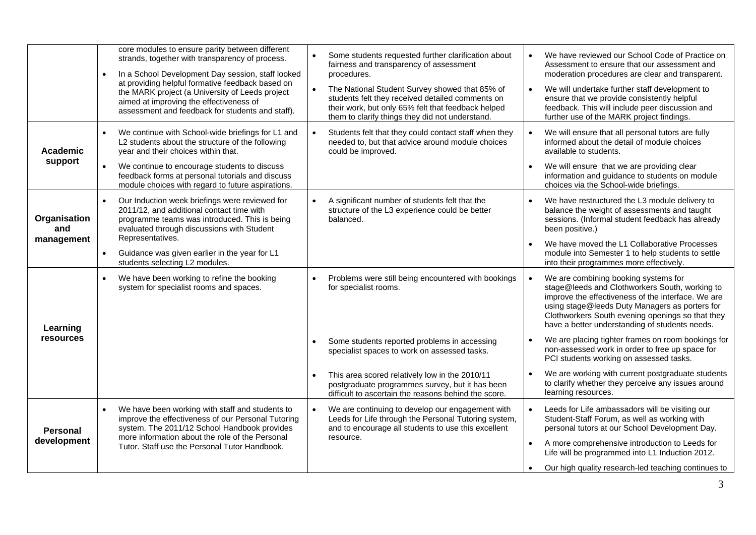|                                | core modules to ensure parity between different<br>strands, together with transparency of process.<br>In a School Development Day session, staff looked<br>at providing helpful formative feedback based on<br>the MARK project (a University of Leeds project<br>aimed at improving the effectiveness of<br>assessment and feedback for students and staff). | Some students requested further clarification about<br>fairness and transparency of assessment<br>procedures.<br>$\bullet$<br>The National Student Survey showed that 85% of<br>students felt they received detailed comments on<br>their work, but only 65% felt that feedback helped<br>them to clarify things they did not understand. | We have reviewed our School Code of Practice on<br>Assessment to ensure that our assessment and<br>moderation procedures are clear and transparent.<br>We will undertake further staff development to<br>ensure that we provide consistently helpful<br>feedback. This will include peer discussion and<br>further use of the MARK project findings. |
|--------------------------------|---------------------------------------------------------------------------------------------------------------------------------------------------------------------------------------------------------------------------------------------------------------------------------------------------------------------------------------------------------------|-------------------------------------------------------------------------------------------------------------------------------------------------------------------------------------------------------------------------------------------------------------------------------------------------------------------------------------------|------------------------------------------------------------------------------------------------------------------------------------------------------------------------------------------------------------------------------------------------------------------------------------------------------------------------------------------------------|
| Academic<br>support            | We continue with School-wide briefings for L1 and<br>L2 students about the structure of the following<br>year and their choices within that.<br>$\bullet$<br>We continue to encourage students to discuss                                                                                                                                                     | Students felt that they could contact staff when they<br>$\bullet$<br>needed to, but that advice around module choices<br>could be improved.                                                                                                                                                                                              | We will ensure that all personal tutors are fully<br>informed about the detail of module choices<br>available to students.<br>We will ensure that we are providing clear                                                                                                                                                                             |
|                                | feedback forms at personal tutorials and discuss<br>module choices with regard to future aspirations.                                                                                                                                                                                                                                                         |                                                                                                                                                                                                                                                                                                                                           | information and guidance to students on module<br>choices via the School-wide briefings.                                                                                                                                                                                                                                                             |
| Organisation<br>and            | Our Induction week briefings were reviewed for<br>2011/12, and additional contact time with<br>programme teams was introduced. This is being<br>evaluated through discussions with Student                                                                                                                                                                    | A significant number of students felt that the<br>$\bullet$<br>structure of the L3 experience could be better<br>balanced.                                                                                                                                                                                                                | We have restructured the L3 module delivery to<br>balance the weight of assessments and taught<br>sessions. (Informal student feedback has already<br>been positive.)                                                                                                                                                                                |
| management                     | Representatives.<br>Guidance was given earlier in the year for L1<br>$\bullet$<br>students selecting L2 modules.                                                                                                                                                                                                                                              |                                                                                                                                                                                                                                                                                                                                           | We have moved the L1 Collaborative Processes<br>module into Semester 1 to help students to settle<br>into their programmes more effectively.                                                                                                                                                                                                         |
| Learning                       | We have been working to refine the booking<br>$\bullet$<br>system for specialist rooms and spaces.                                                                                                                                                                                                                                                            | Problems were still being encountered with bookings<br>$\bullet$<br>for specialist rooms.                                                                                                                                                                                                                                                 | We are combining booking systems for<br>stage@leeds and Clothworkers South, working to<br>improve the effectiveness of the interface. We are<br>using stage@leeds Duty Managers as porters for<br>Clothworkers South evening openings so that they<br>have a better understanding of students needs.                                                 |
| resources                      |                                                                                                                                                                                                                                                                                                                                                               | Some students reported problems in accessing<br>$\bullet$<br>specialist spaces to work on assessed tasks.                                                                                                                                                                                                                                 | We are placing tighter frames on room bookings for<br>non-assessed work in order to free up space for<br>PCI students working on assessed tasks.                                                                                                                                                                                                     |
|                                |                                                                                                                                                                                                                                                                                                                                                               | This area scored relatively low in the 2010/11<br>$\bullet$<br>postgraduate programmes survey, but it has been<br>difficult to ascertain the reasons behind the score.                                                                                                                                                                    | We are working with current postgraduate students<br>to clarify whether they perceive any issues around<br>learning resources.                                                                                                                                                                                                                       |
| <b>Personal</b><br>development | We have been working with staff and students to<br>$\bullet$<br>improve the effectiveness of our Personal Tutoring<br>system. The 2011/12 School Handbook provides<br>more information about the role of the Personal                                                                                                                                         | $\bullet$<br>We are continuing to develop our engagement with<br>Leeds for Life through the Personal Tutoring system,<br>and to encourage all students to use this excellent<br>resource.                                                                                                                                                 | Leeds for Life ambassadors will be visiting our<br>Student-Staff Forum, as well as working with<br>personal tutors at our School Development Day.                                                                                                                                                                                                    |
|                                | Tutor, Staff use the Personal Tutor Handbook.                                                                                                                                                                                                                                                                                                                 |                                                                                                                                                                                                                                                                                                                                           | A more comprehensive introduction to Leeds for<br>$\bullet$<br>Life will be programmed into L1 Induction 2012.<br>Our high quality research-led teaching continues to                                                                                                                                                                                |